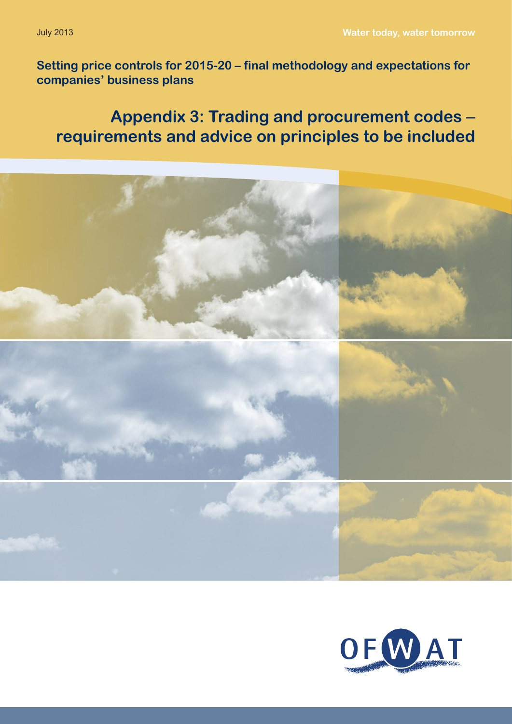**Setting price controls for 2015-20 – final methodology and expectations for companies' business plans**

# **Appendix 3: Trading and procurement codes** – **requirements and advice on principles to be included**



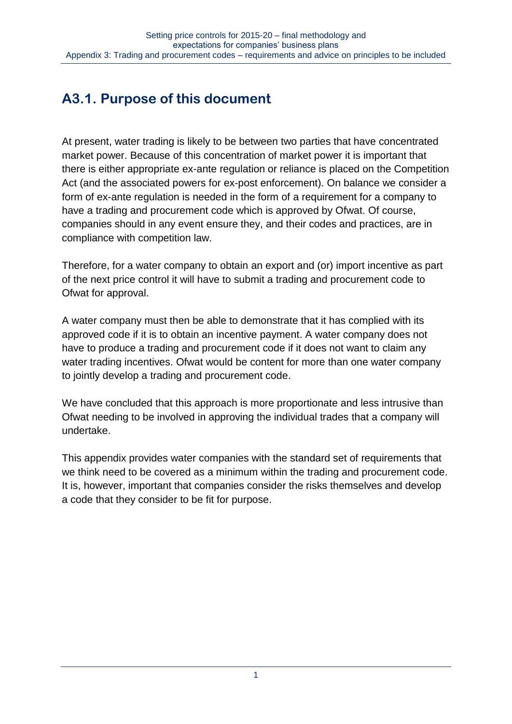# **A3.1. Purpose of this document**

At present, water trading is likely to be between two parties that have concentrated market power. Because of this concentration of market power it is important that there is either appropriate ex-ante regulation or reliance is placed on the Competition Act (and the associated powers for ex-post enforcement). On balance we consider a form of ex-ante regulation is needed in the form of a requirement for a company to have a trading and procurement code which is approved by Ofwat. Of course, companies should in any event ensure they, and their codes and practices, are in compliance with competition law.

Therefore, for a water company to obtain an export and (or) import incentive as part of the next price control it will have to submit a trading and procurement code to Ofwat for approval.

A water company must then be able to demonstrate that it has complied with its approved code if it is to obtain an incentive payment. A water company does not have to produce a trading and procurement code if it does not want to claim any water trading incentives. Ofwat would be content for more than one water company to jointly develop a trading and procurement code.

We have concluded that this approach is more proportionate and less intrusive than Ofwat needing to be involved in approving the individual trades that a company will undertake.

This appendix provides water companies with the standard set of requirements that we think need to be covered as a minimum within the trading and procurement code. It is, however, important that companies consider the risks themselves and develop a code that they consider to be fit for purpose.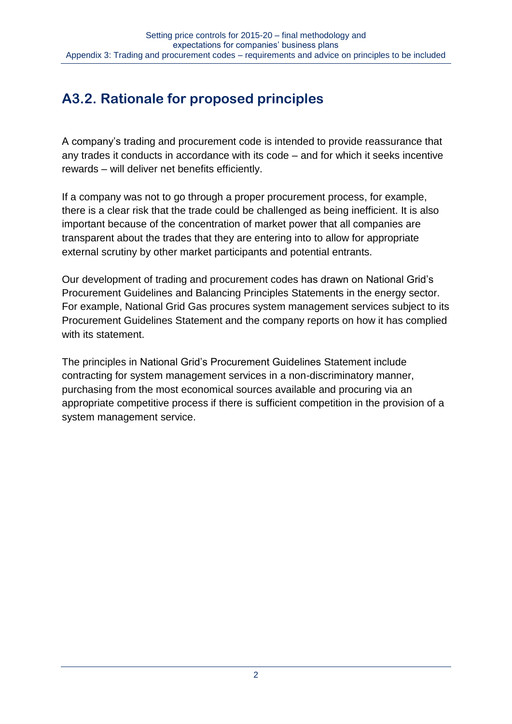# **A3.2. Rationale for proposed principles**

A company's trading and procurement code is intended to provide reassurance that any trades it conducts in accordance with its code – and for which it seeks incentive rewards – will deliver net benefits efficiently.

If a company was not to go through a proper procurement process, for example, there is a clear risk that the trade could be challenged as being inefficient. It is also important because of the concentration of market power that all companies are transparent about the trades that they are entering into to allow for appropriate external scrutiny by other market participants and potential entrants.

Our development of trading and procurement codes has drawn on National Grid's Procurement Guidelines and Balancing Principles Statements in the energy sector. For example, National Grid Gas procures system management services subject to its Procurement Guidelines Statement and the company reports on how it has complied with its statement.

The principles in National Grid's Procurement Guidelines Statement include contracting for system management services in a non-discriminatory manner, purchasing from the most economical sources available and procuring via an appropriate competitive process if there is sufficient competition in the provision of a system management service.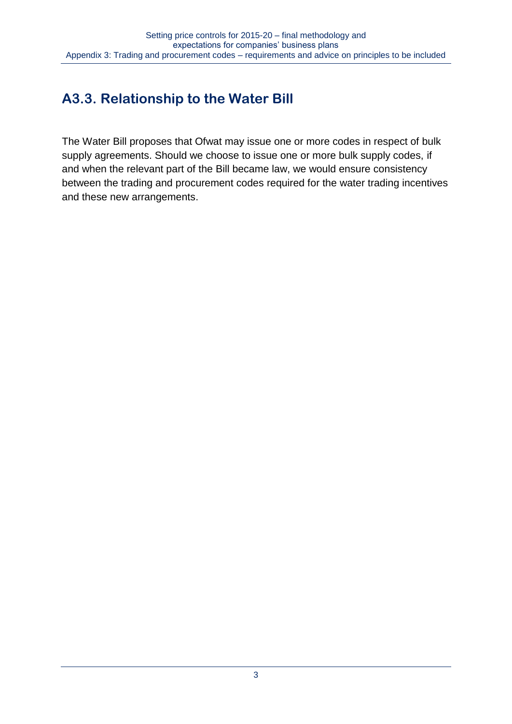# **A3.3. Relationship to the Water Bill**

The Water Bill proposes that Ofwat may issue one or more codes in respect of bulk supply agreements. Should we choose to issue one or more bulk supply codes, if and when the relevant part of the Bill became law, we would ensure consistency between the trading and procurement codes required for the water trading incentives and these new arrangements.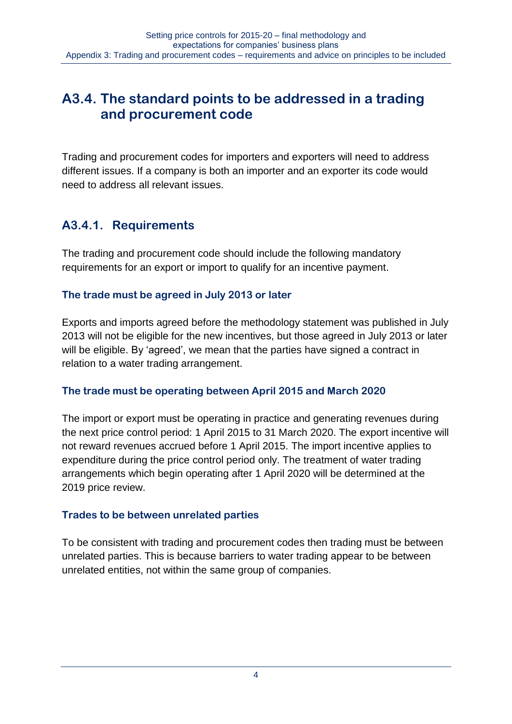# **A3.4. The standard points to be addressed in a trading and procurement code**

Trading and procurement codes for importers and exporters will need to address different issues. If a company is both an importer and an exporter its code would need to address all relevant issues.

## **A3.4.1. Requirements**

The trading and procurement code should include the following mandatory requirements for an export or import to qualify for an incentive payment.

## **The trade must be agreed in July 2013 or later**

Exports and imports agreed before the methodology statement was published in July 2013 will not be eligible for the new incentives, but those agreed in July 2013 or later will be eligible. By 'agreed', we mean that the parties have signed a contract in relation to a water trading arrangement.

## **The trade must be operating between April 2015 and March 2020**

The import or export must be operating in practice and generating revenues during the next price control period: 1 April 2015 to 31 March 2020. The export incentive will not reward revenues accrued before 1 April 2015. The import incentive applies to expenditure during the price control period only. The treatment of water trading arrangements which begin operating after 1 April 2020 will be determined at the 2019 price review.

## **Trades to be between unrelated parties**

To be consistent with trading and procurement codes then trading must be between unrelated parties. This is because barriers to water trading appear to be between unrelated entities, not within the same group of companies.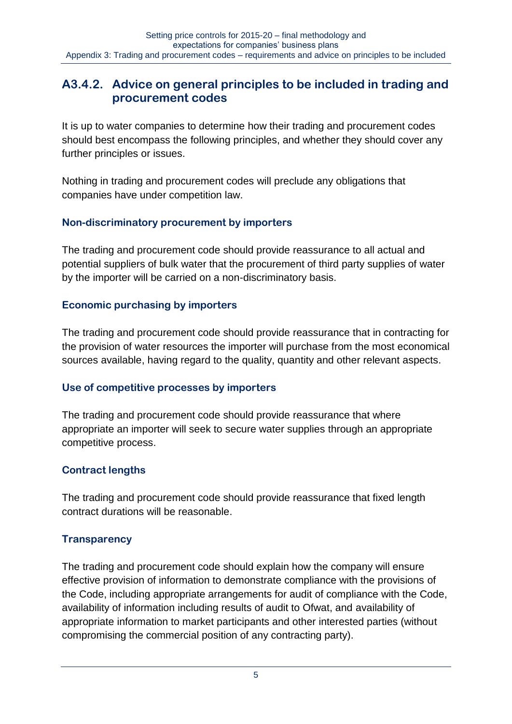## **A3.4.2. Advice on general principles to be included in trading and procurement codes**

It is up to water companies to determine how their trading and procurement codes should best encompass the following principles, and whether they should cover any further principles or issues.

Nothing in trading and procurement codes will preclude any obligations that companies have under competition law.

#### **Non-discriminatory procurement by importers**

The trading and procurement code should provide reassurance to all actual and potential suppliers of bulk water that the procurement of third party supplies of water by the importer will be carried on a non-discriminatory basis.

#### **Economic purchasing by importers**

The trading and procurement code should provide reassurance that in contracting for the provision of water resources the importer will purchase from the most economical sources available, having regard to the quality, quantity and other relevant aspects.

## **Use of competitive processes by importers**

The trading and procurement code should provide reassurance that where appropriate an importer will seek to secure water supplies through an appropriate competitive process.

## **Contract lengths**

The trading and procurement code should provide reassurance that fixed length contract durations will be reasonable.

## **Transparency**

The trading and procurement code should explain how the company will ensure effective provision of information to demonstrate compliance with the provisions of the Code, including appropriate arrangements for audit of compliance with the Code, availability of information including results of audit to Ofwat, and availability of appropriate information to market participants and other interested parties (without compromising the commercial position of any contracting party).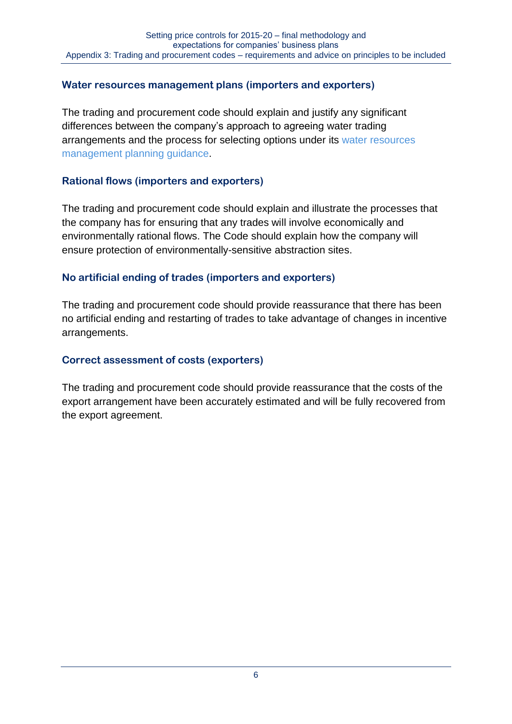#### **Water resources management plans (importers and exporters)**

The trading and procurement code should explain and justify any significant differences between the company's approach to agreeing water trading arrangements and the process for selecting options under its [water resources](http://www.environment-agency.gov.uk/business/sectors/32399.aspx)  [management planning](http://www.environment-agency.gov.uk/business/sectors/32399.aspx) guidance.

#### **Rational flows (importers and exporters)**

The trading and procurement code should explain and illustrate the processes that the company has for ensuring that any trades will involve economically and environmentally rational flows. The Code should explain how the company will ensure protection of environmentally-sensitive abstraction sites.

#### **No artificial ending of trades (importers and exporters)**

The trading and procurement code should provide reassurance that there has been no artificial ending and restarting of trades to take advantage of changes in incentive arrangements.

#### **Correct assessment of costs (exporters)**

The trading and procurement code should provide reassurance that the costs of the export arrangement have been accurately estimated and will be fully recovered from the export agreement.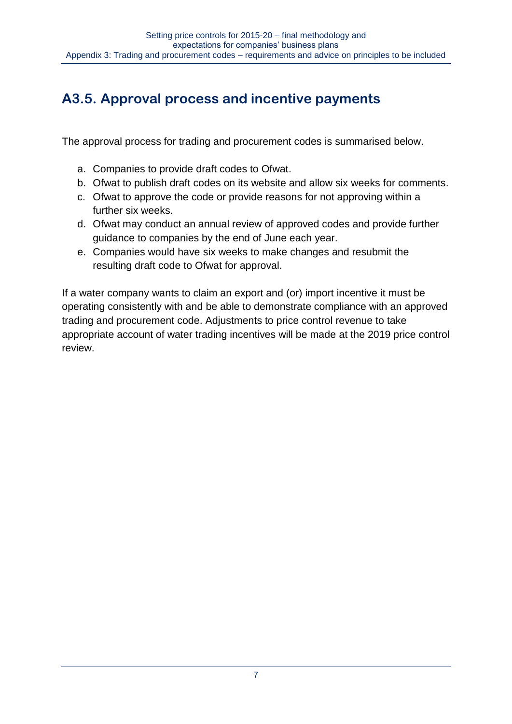# **A3.5. Approval process and incentive payments**

The approval process for trading and procurement codes is summarised below.

- a. Companies to provide draft codes to Ofwat.
- b. Ofwat to publish draft codes on its website and allow six weeks for comments.
- c. Ofwat to approve the code or provide reasons for not approving within a further six weeks.
- d. Ofwat may conduct an annual review of approved codes and provide further guidance to companies by the end of June each year.
- e. Companies would have six weeks to make changes and resubmit the resulting draft code to Ofwat for approval.

If a water company wants to claim an export and (or) import incentive it must be operating consistently with and be able to demonstrate compliance with an approved trading and procurement code. Adjustments to price control revenue to take appropriate account of water trading incentives will be made at the 2019 price control review.